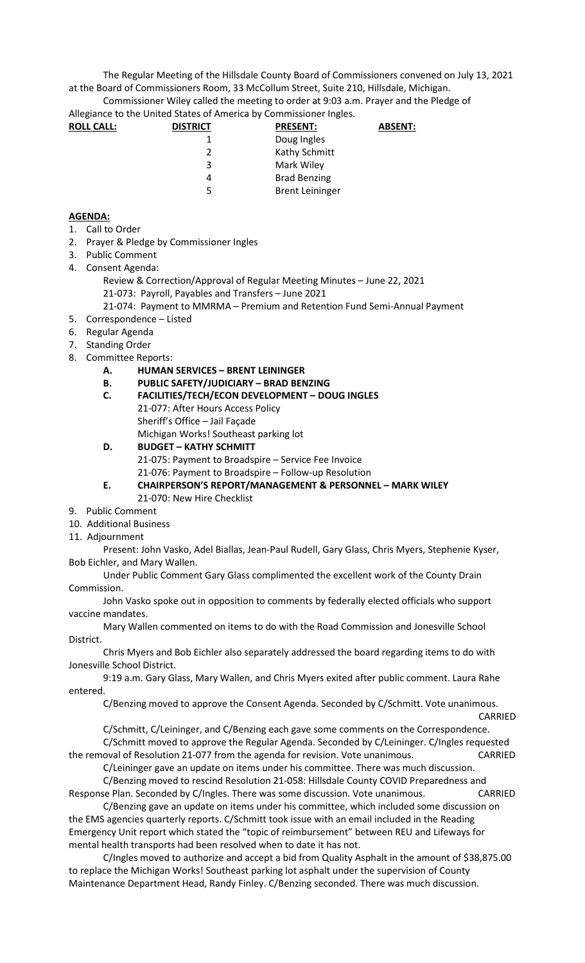The Regular Meeting of the Hillsdale County Board of Commissioners convened on July 13, 2021 at the Board of Commissioners Room, 33 McCollum Street, Suite 210, Hillsdale, Michigan.

Commissioner Wiley called the meeting to order at 9:03 a.m. Prayer and the Pledge of Allegiance to the United States of America by Commissioner Ingles.

| Allegiance to the United States of America by Commissioner ingles. |                 |                        |                |
|--------------------------------------------------------------------|-----------------|------------------------|----------------|
| <b>ROLL CALL:</b>                                                  | <b>DISTRICT</b> | <b>PRESENT:</b>        | <b>ABSENT:</b> |
|                                                                    |                 | Doug Ingles            |                |
|                                                                    | 2               | Kathy Schmitt          |                |
|                                                                    | 3               | Mark Wiley             |                |
|                                                                    | 4               | <b>Brad Benzing</b>    |                |
|                                                                    | 5               | <b>Brent Leininger</b> |                |
|                                                                    |                 |                        |                |

## **AGENDA:**

- 1. Call to Order
- 2. Prayer & Pledge by Commissioner Ingles
- 3. Public Comment
- 4. Consent Agenda:
	- Review & Correction/Approval of Regular Meeting Minutes June 22, 2021
	- 21-073: Payroll, Payables and Transfers June 2021
	- 21-074: Payment to MMRMA Premium and Retention Fund Semi-Annual Payment
- 5. Correspondence Listed
- 6. Regular Agenda
- 7. Standing Order
- 8. Committee Reports:
	- **A. HUMAN SERVICES BRENT LEININGER**
	- **B. PUBLIC SAFETY/JUDICIARY BRAD BENZING**
	- **C. FACILITIES/TECH/ECON DEVELOPMENT DOUG INGLES**  21-077: After Hours Access Policy Sheriff's Office – Jail Façade Michigan Works! Southeast parking lot

## **D. BUDGET – KATHY SCHMITT**

21-075: Payment to Broadspire – Service Fee Invoice

21-076: Payment to Broadspire – Follow-up Resolution

- **E. CHAIRPERSON'S REPORT/MANAGEMENT & PERSONNEL MARK WILEY**  21-070: New Hire Checklist
- 9. Public Comment
- 10. Additional Business
- 11. Adjournment

Present: John Vasko, Adel Biallas, Jean-Paul Rudell, Gary Glass, Chris Myers, Stephenie Kyser, Bob Eichler, and Mary Wallen.

Under Public Comment Gary Glass complimented the excellent work of the County Drain Commission.

John Vasko spoke out in opposition to comments by federally elected officials who support vaccine mandates.

Mary Wallen commented on items to do with the Road Commission and Jonesville School District.

Chris Myers and Bob Eichler also separately addressed the board regarding items to do with Jonesville School District.

9:19 a.m. Gary Glass, Mary Wallen, and Chris Myers exited after public comment. Laura Rahe entered.

C/Benzing moved to approve the Consent Agenda. Seconded by C/Schmitt. Vote unanimous.

CARRIED C/Schmitt, C/Leininger, and C/Benzing each gave some comments on the Correspondence. C/Schmitt moved to approve the Regular Agenda. Seconded by C/Leininger. C/Ingles requested the removal of Resolution 21-077 from the agenda for revision. Vote unanimous. CARRIED

C/Leininger gave an update on items under his committee. There was much discussion.

C/Benzing moved to rescind Resolution 21-058: Hillsdale County COVID Preparedness and Response Plan. Seconded by C/Ingles. There was some discussion. Vote unanimous. CARRIED

C/Benzing gave an update on items under his committee, which included some discussion on the EMS agencies quarterly reports. C/Schmitt took issue with an email included in the Reading Emergency Unit report which stated the "topic of reimbursement" between REU and Lifeways for mental health transports had been resolved when to date it has not.

C/Ingles moved to authorize and accept a bid from Quality Asphalt in the amount of \$38,875.00 to replace the Michigan Works! Southeast parking lot asphalt under the supervision of County Maintenance Department Head, Randy Finley. C/Benzing seconded. There was much discussion.